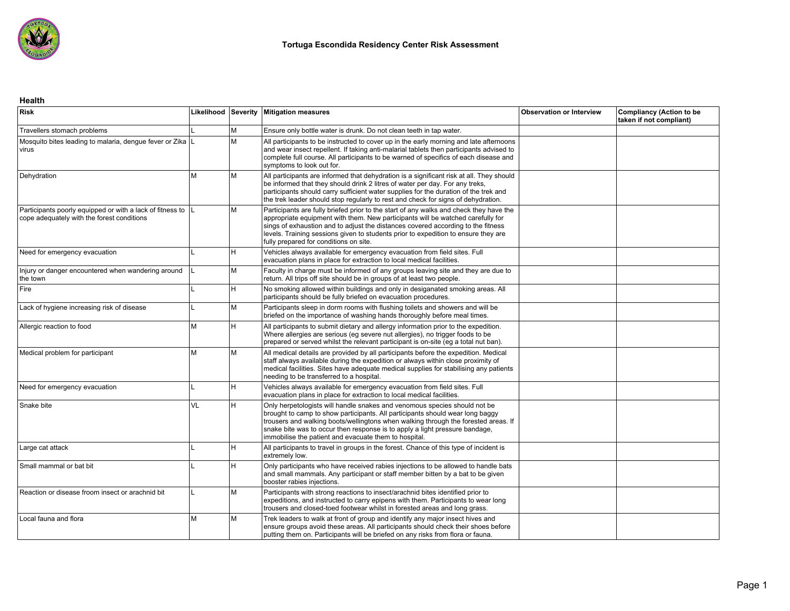

#### **Health**

| <b>Risk</b>                                                                                                |    |     | Likelihood Severity   Mitigation measures                                                                                                                                                                                                                                                                                                                                                     | <b>Observation or Interview</b> | <b>Compliancy (Action to be</b><br>taken if not compliant) |
|------------------------------------------------------------------------------------------------------------|----|-----|-----------------------------------------------------------------------------------------------------------------------------------------------------------------------------------------------------------------------------------------------------------------------------------------------------------------------------------------------------------------------------------------------|---------------------------------|------------------------------------------------------------|
| Travellers stomach problems                                                                                |    | M   | Ensure only bottle water is drunk. Do not clean teeth in tap water.                                                                                                                                                                                                                                                                                                                           |                                 |                                                            |
| Mosquito bites leading to malaria, dengue fever or Zika   L<br>virus                                       |    | Iм  | All participants to be instructed to cover up in the early morning and late afternoons<br>and wear insect repellent. If taking anti-malarial tablets then participants advised to<br>complete full course. All participants to be warned of specifics of each disease and<br>symptoms to look out for.                                                                                        |                                 |                                                            |
| Dehydration                                                                                                | lм | M   | All participants are informed that dehydration is a significant risk at all. They should<br>be informed that they should drink 2 litres of water per day. For any treks,<br>participants should carry sufficient water supplies for the duration of the trek and<br>the trek leader should stop regularly to rest and check for signs of dehydration.                                         |                                 |                                                            |
| Participants poorly equipped or with a lack of fitness to  L<br>cope adequately with the forest conditions |    | M   | Participants are fully briefed prior to the start of any walks and check they have the<br>appropriate equipment with them. New participants will be watched carefully for<br>sings of exhaustion and to adjust the distances covered according to the fitness<br>levels. Training sessions given to students prior to expedition to ensure they are<br>fully prepared for conditions on site. |                                 |                                                            |
| Need for emergency evacuation                                                                              |    | lн. | Vehicles always available for emergency evacuation from field sites. Full<br>evacuation plans in place for extraction to local medical facilities.                                                                                                                                                                                                                                            |                                 |                                                            |
| Injury or danger encountered when wandering around<br>the town                                             |    | IМ  | Faculty in charge must be informed of any groups leaving site and they are due to<br>return. All trips off site should be in groups of at least two people.                                                                                                                                                                                                                                   |                                 |                                                            |
| Fire                                                                                                       |    | H.  | No smoking allowed within buildings and only in desiganated smoking areas. All<br>participants should be fully briefed on evacuation procedures.                                                                                                                                                                                                                                              |                                 |                                                            |
| Lack of hygiene increasing risk of disease                                                                 |    | Iм  | Participants sleep in dorm rooms with flushing toilets and showers and will be<br>briefed on the importance of washing hands thoroughly before meal times.                                                                                                                                                                                                                                    |                                 |                                                            |
| Allergic reaction to food                                                                                  | lм | H   | All participants to submit dietary and allergy information prior to the expedition.<br>Where allergies are serious (eg severe nut allergies), no trigger foods to be<br>prepared or served whilst the relevant participant is on-site (eq a total nut ban).                                                                                                                                   |                                 |                                                            |
| Medical problem for participant                                                                            | lм | M   | All medical details are provided by all participants before the expedition. Medical<br>staff always available during the expedition or always within close proximity of<br>medical facilities. Sites have adequate medical supplies for stabilising any patients<br>needing to be transferred to a hospital.                                                                                  |                                 |                                                            |
| Need for emergency evacuation                                                                              |    | H   | Vehicles always available for emergency evacuation from field sites. Full<br>evacuation plans in place for extraction to local medical facilities.                                                                                                                                                                                                                                            |                                 |                                                            |
| Snake bite                                                                                                 | VL | lн. | Only herpetologists will handle snakes and venomous species should not be<br>brought to camp to show participants. All participants should wear long baggy<br>trousers and walking boots/wellingtons when walking through the forested areas. If<br>snake bite was to occur then response is to apply a light pressure bandage,<br>immobilise the patient and evacuate them to hospital.      |                                 |                                                            |
| Large cat attack                                                                                           |    | lн. | All participants to travel in groups in the forest. Chance of this type of incident is<br>extremely low.                                                                                                                                                                                                                                                                                      |                                 |                                                            |
| Small mammal or bat bit                                                                                    |    | H   | Only participants who have received rabies injections to be allowed to handle bats<br>and small mammals. Any participant or staff member bitten by a bat to be given<br>booster rabies injections.                                                                                                                                                                                            |                                 |                                                            |
| Reaction or disease froom insect or arachnid bit                                                           |    | M   | Participants with strong reactions to insect/arachnid bites identified prior to<br>expeditions, and instructed to carry epipens with them. Participants to wear long<br>trousers and closed-toed footwear whilst in forested areas and long grass.                                                                                                                                            |                                 |                                                            |
| Local fauna and flora                                                                                      | lм | M   | Trek leaders to walk at front of group and identify any major insect hives and<br>ensure groups avoid these areas. All participants should check their shoes before<br>putting them on. Participants will be briefed on any risks from flora or fauna.                                                                                                                                        |                                 |                                                            |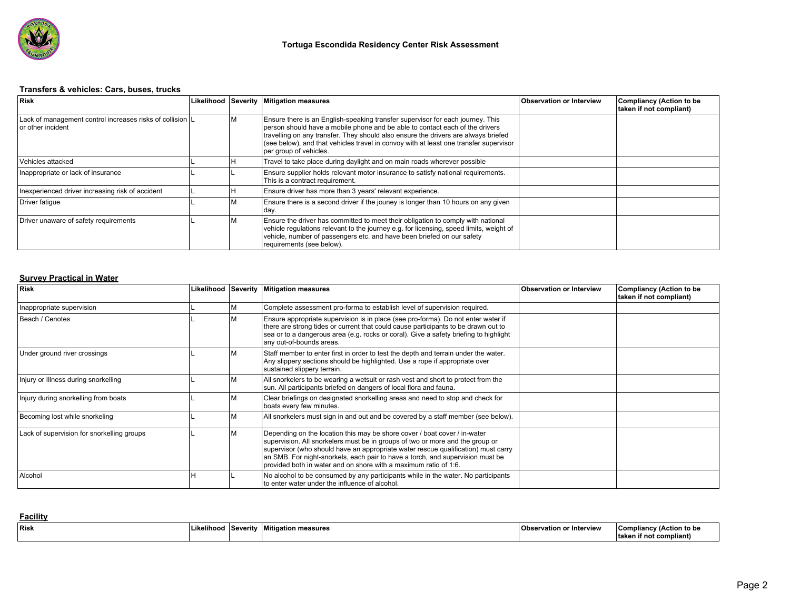

# **Transfers & vehicles: Cars, buses, trucks**

| Risk                                                                             |  | Likelihood Severity Mitigation measures                                                                                                                                                                                                                                                                                                                                 | <b>Observation or Interview</b> | <b>Compliancy (Action to be</b><br>taken if not compliant) |
|----------------------------------------------------------------------------------|--|-------------------------------------------------------------------------------------------------------------------------------------------------------------------------------------------------------------------------------------------------------------------------------------------------------------------------------------------------------------------------|---------------------------------|------------------------------------------------------------|
| Lack of management control increases risks of collision   L<br>or other incident |  | Ensure there is an English-speaking transfer supervisor for each journey. This<br>person should have a mobile phone and be able to contact each of the drivers<br>travelling on any transfer. They should also ensure the drivers are always briefed<br>(see below), and that vehicles travel in convoy with at least one transfer supervisor<br>per group of vehicles. |                                 |                                                            |
| l Vehicles attacked                                                              |  | Travel to take place during daylight and on main roads wherever possible                                                                                                                                                                                                                                                                                                |                                 |                                                            |
| Inappropriate or lack of insurance                                               |  | Ensure supplier holds relevant motor insurance to satisfy national requirements.<br>This is a contract requirement.                                                                                                                                                                                                                                                     |                                 |                                                            |
| Inexperienced driver increasing risk of accident                                 |  | Ensure driver has more than 3 years' relevant experience.                                                                                                                                                                                                                                                                                                               |                                 |                                                            |
| Driver fatique                                                                   |  | Ensure there is a second driver if the jouney is longer than 10 hours on any given<br>day.                                                                                                                                                                                                                                                                              |                                 |                                                            |
| Driver unaware of safety requirements                                            |  | Ensure the driver has committed to meet their obligation to comply with national<br>vehicle regulations relevant to the journey e.g. for licensing, speed limits, weight of<br>vehicle, number of passengers etc. and have been briefed on our safety<br>requirements (see below).                                                                                      |                                 |                                                            |

# **Survey Practical in Water**

| Risk                                       |  | Likelihood Severity Mitigation measures                                                                                                                                                                                                                                                                                                                                                               | <b>Observation or Interview</b> | Compliancy (Action to be<br>taken if not compliant) |
|--------------------------------------------|--|-------------------------------------------------------------------------------------------------------------------------------------------------------------------------------------------------------------------------------------------------------------------------------------------------------------------------------------------------------------------------------------------------------|---------------------------------|-----------------------------------------------------|
| Inappropriate supervision                  |  | Complete assessment pro-forma to establish level of supervision required.                                                                                                                                                                                                                                                                                                                             |                                 |                                                     |
| Beach / Cenotes                            |  | Ensure appropriate supervision is in place (see pro-forma). Do not enter water if<br>there are strong tides or current that could cause participants to be drawn out to<br>sea or to a dangerous area (e.g. rocks or coral). Give a safety briefing to highlight<br>any out-of-bounds areas.                                                                                                          |                                 |                                                     |
| Under ground river crossings               |  | Staff member to enter first in order to test the depth and terrain under the water.<br>Any slippery sections should be highlighted. Use a rope if appropriate over<br>sustained slippery terrain.                                                                                                                                                                                                     |                                 |                                                     |
| Injury or Illness during snorkelling       |  | All snorkelers to be wearing a wetsuit or rash vest and short to protect from the<br>sun. All participants briefed on dangers of local flora and fauna.                                                                                                                                                                                                                                               |                                 |                                                     |
| Injury during snorkelling from boats       |  | Clear briefings on designated snorkelling areas and need to stop and check for<br>boats every few minutes.                                                                                                                                                                                                                                                                                            |                                 |                                                     |
| Becoming lost while snorkeling             |  | All snorkelers must sign in and out and be covered by a staff member (see below).                                                                                                                                                                                                                                                                                                                     |                                 |                                                     |
| Lack of supervision for snorkelling groups |  | Depending on the location this may be shore cover / boat cover / in-water<br>supervision. All snorkelers must be in groups of two or more and the group or<br>supervisor (who should have an appropriate water rescue qualification) must carry<br>an SMB. For night-snorkels, each pair to have a torch, and supervision must be<br>provided both in water and on shore with a maximum ratio of 1:6. |                                 |                                                     |
| Alcohol                                    |  | No alcohol to be consumed by any participants while in the water. No participants<br>to enter water under the influence of alcohol.                                                                                                                                                                                                                                                                   |                                 |                                                     |

### **Facility**

| Risk | Likelihooc | Sever. | .<br>measure<br>uon r<br>шоа | . Interviev<br>Observation or ' | <b>Com</b><br>npliancy<br>∵≀Action to b⊾ |  |  |
|------|------------|--------|------------------------------|---------------------------------|------------------------------------------|--|--|
|      |            |        |                              |                                 | * complian∟<br>. taken<br>ır no          |  |  |